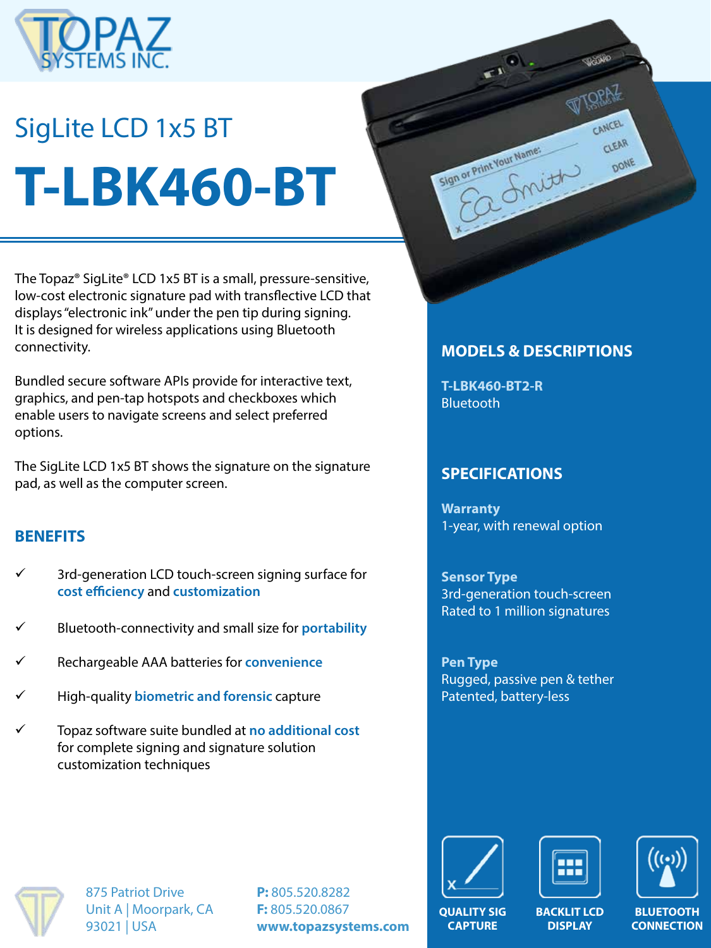

# SigLite LCD 1x5 BT **T-LBK460-BT**

The Topaz® SigLite® LCD 1x5 BT is a small, pressure-sensitive, low-cost electronic signature pad with transflective LCD that displays "electronic ink" under the pen tip during signing. It is designed for wireless applications using Bluetooth connectivity.

Bundled secure software APIs provide for interactive text, graphics, and pen-tap hotspots and checkboxes which enable users to navigate screens and select preferred options.

The SigLite LCD 1x5 BT shows the signature on the signature pad, as well as the computer screen.

#### **BENEFITS**

- 3rd-generation LCD touch-screen signing surface for **cost efficiency** and **customization**
- ü Bluetooth-connectivity and small size for **portability**
- ü Rechargeable AAA batteries for **convenience**
- ü High-quality **biometric and forensic** capture
- ü Topaz software suite bundled at **no additional cost**  for complete signing and signature solution customization techniques

### **MODELS & DESCRIPTIONS**

CANCEL

CLEAR DONE

**T-LBK460-BT2-R Bluetooth** 

Sign or Print Your Name:

#### **SPECIFICATIONS**

**Warranty** 1-year, with renewal option

**Sensor Type** 3rd-generation touch-screen Rated to 1 million signatures

**Pen Type** Rugged, passive pen & tether Patented, battery-less



875 Patriot Drive Unit A | Moorpark, CA 93021 | USA

**P:** 805.520.8282 **F:** 805.520.0867 **www.topazsystems.com**







**CONNECTION**

**QUALITY SIG CAPTURE**

**BACKLIT LCD DISPLAY**